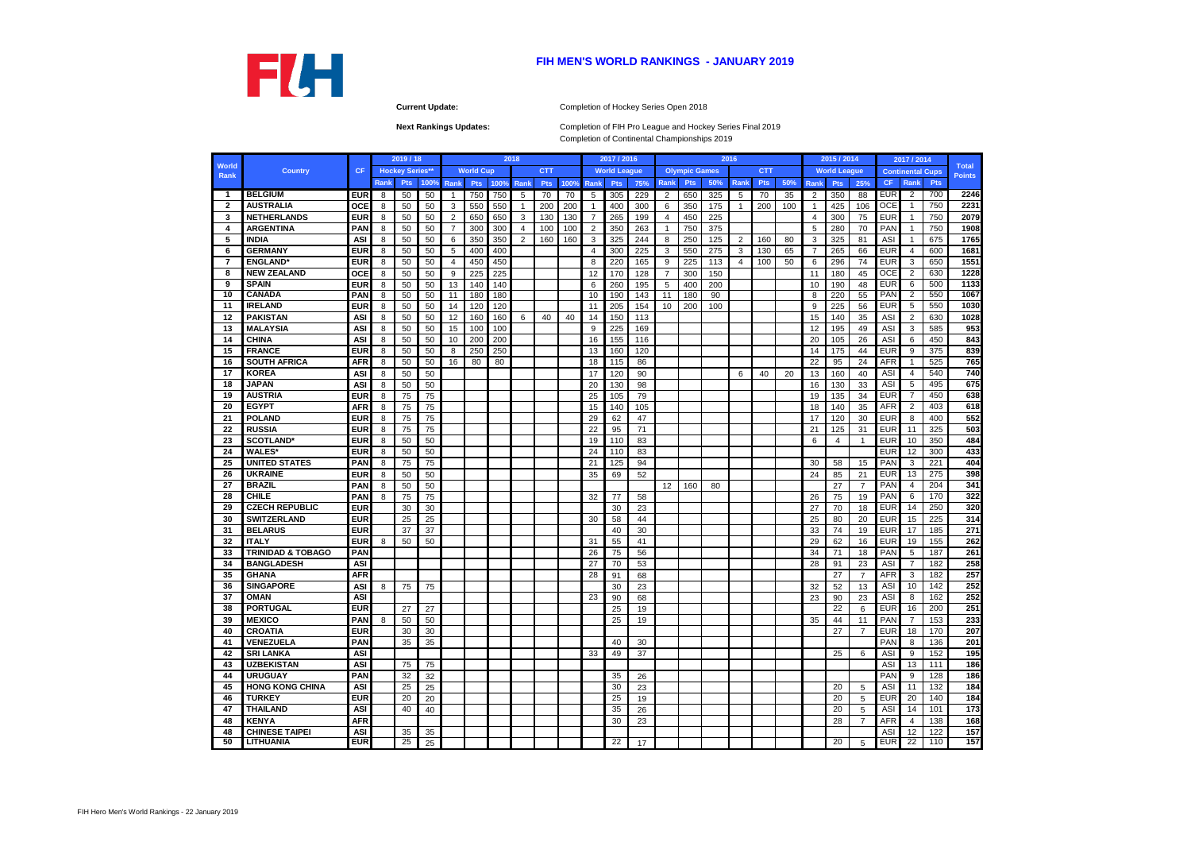**Next Rankings Updates:** 

|               |                              |            |       | 2019 / 18              |      |                |                  |      | 2018           |            |      |                | 2017 / 2016         |     |                |                      |     | 2016           |            |     |                | 2015 / 2014         |                |                          | 2017 / 2014             |            |                               |
|---------------|------------------------------|------------|-------|------------------------|------|----------------|------------------|------|----------------|------------|------|----------------|---------------------|-----|----------------|----------------------|-----|----------------|------------|-----|----------------|---------------------|----------------|--------------------------|-------------------------|------------|-------------------------------|
| World<br>Rank | <b>Country</b>               | <b>CF</b>  |       | <b>Hockey Series**</b> |      |                | <b>World Cup</b> |      |                | <b>CTT</b> |      |                | <b>World League</b> |     |                | <b>Olympic Games</b> |     |                | <b>CTT</b> |     |                | <b>World League</b> |                |                          | <b>Continental Cups</b> |            | <b>Total</b><br><b>Points</b> |
|               |                              |            | Rank, | <b>Pts</b>             | 100% | Rank           | <b>Pts</b>       | 100% | Rank           | <b>Pts</b> | 100% | Rank           | <b>Pts</b>          | 75% | Rank           | <b>Pts</b>           | 50% | Rank           | <b>Pts</b> | 50% | Rank           | <b>Pts</b>          | 25%            | <b>CF</b>                | Rank                    | <b>Pts</b> |                               |
| $\mathbf{1}$  | <b>BELGIUM</b>               | <b>EUR</b> | -8    | 50                     | 50   | -1             | 750              | 750  | 5              | 70         | 70   | 5              | 305                 | 229 | $\overline{2}$ | 650                  | 325 | 5              | 70         | 35  | 2              | 350                 | 88             | <b>EUR</b>               | 2                       | 700        | 2246                          |
| $\mathbf{2}$  | <b>AUSTRALIA</b>             | <b>OCE</b> | 8     | 50                     | 50   | 3              | 550              | 550  | 1              | 200        | 200  |                | 400                 | 300 | 6              | 350                  | 175 | $\mathbf 1$    | 200        | 100 | -1             | 425                 | 106            | <b>OCE</b>               |                         | 750        | 2231                          |
| -3            | <b>NETHERLANDS</b>           | <b>EUR</b> | -8    | 50                     | 50   | $\overline{2}$ | 650              | 650  | 3              | 130        | 130  | $\overline{7}$ | 265                 | 199 | 4              | 450                  | 225 |                |            |     | $\overline{4}$ | 300                 | 75             | <b>EUR</b>               |                         | 750        | 2079                          |
| 4             | <b>ARGENTINA</b>             | <b>PAN</b> | 8     | 50                     | 50   | $\overline{7}$ | 300              | 300  | 4              | 100        | 100  | 2              | 350                 | 263 | $\mathbf{1}$   | 750                  | 375 |                |            |     | 5              | 280                 | 70             | PAN                      |                         | 750        | 1908                          |
| -5            | <b>INDIA</b>                 | <b>ASI</b> | 8     | 50                     | 50   | 6              | 350              | 350  | $\overline{2}$ | 160        | 160  | 3              | 325                 | 244 | 8              | 250                  | 125 | $\overline{2}$ | 160        | 80  | 3              | 325                 | 81             | <b>ASI</b>               |                         | 675        | 1765                          |
| 6             | <b>GERMANY</b>               | <b>EUR</b> | 8     | 50                     | 50   | 5              | 400              | 400  |                |            |      | 4              | 300                 | 225 | 3              | 550                  | 275 | 3              | 130        | 65  | 7              | 265                 | 66             | <b>EUR</b>               | 4                       | 600        | 1681                          |
| 7             | <b>ENGLAND*</b>              | <b>EUR</b> | 8     | 50                     | 50   | $\overline{4}$ | 450              | 450  |                |            |      | 8              | 220                 | 165 | 9              | 225                  | 113 | $\overline{4}$ | 100        | 50  | 6              | 296                 | 74             | <b>EUR</b>               | 3                       | 650        | 1551                          |
| 8             | <b>NEW ZEALAND</b>           | <b>OCE</b> | 8     | 50                     | 50   | 9              | 225              | 225  |                |            |      | 12             | 170                 | 128 | 7              | 300                  | 150 |                |            |     | 11             | 180                 | 45             | <b>OCE</b>               | $\overline{2}$          | 630        | 1228                          |
| 9             | <b>SPAIN</b>                 | <b>EUR</b> | -8    | 50                     | 50   | 13             | 140              | 140  |                |            |      | 6              | 260                 | 195 | 5              | 400                  | 200 |                |            |     | 10             | 190                 | 48             | <b>EUR</b>               | 6                       | 500        | 1133                          |
| 10            | <b>CANADA</b>                | <b>PAN</b> | 8     | 50                     | 50   | 11             | 180              | 180  |                |            |      | 10             | 190                 | 143 | 11             | 180                  | 90  |                |            |     | 8              | 220                 | 55             | <b>PAN</b>               | 2                       | 550        | 1067                          |
| -11           | <b>IRELAND</b>               | <b>EUR</b> | 8     | 50                     | 50   | 14             | 120              | 120  |                |            |      | 11             | 205                 | 154 | 10             | 200                  | 100 |                |            |     | 9              | 225                 | 56             | EUR                      | 5                       | 550        | 1030                          |
| 12            | <b>PAKISTAN</b>              | <b>ASI</b> | 8     | 50                     | 50   | 12             | 160              | 160  | 6              | 40         | 40   | 14             | 150                 | 113 |                |                      |     |                |            |     | 15             | 140                 | 35             | <b>ASI</b>               | 2                       | 630        | 1028                          |
| 13            | <b>MALAYSIA</b>              | ASI        | 8     | 50                     | 50   | 15             | 100              | 100  |                |            |      | 9              | 225                 | 169 |                |                      |     |                |            |     | 12             | 195                 | 49             | <b>ASI</b>               | 3                       | 585        | 953                           |
| 14            | <b>CHINA</b>                 | <b>ASI</b> | 8     | 50                     | 50   | 10             | 200              | 200  |                |            |      | 16             | 155                 | 116 |                |                      |     |                |            |     | 20             | 105                 | 26             | <b>ASI</b>               | 6                       | 450        | 843                           |
| 15            | <b>FRANCE</b>                | <b>EUR</b> | 8     | 50                     | 50   | 8              | 250              | 250  |                |            |      | 13             | 160                 | 120 |                |                      |     |                |            |     | 14             | 175                 | 44             | <b>EUR</b>               | 9                       | 375        | 839                           |
| 16            | <b>SOUTH AFRICA</b>          | <b>AFR</b> | 8     | 50                     | 50   | 16             | 80               | 80   |                |            |      | 18             | 115                 | 86  |                |                      |     |                |            |     | 22             | 95                  | 24             | <b>AFR</b>               |                         | 525        | 765                           |
| 17            | <b>KOREA</b>                 | <b>ASI</b> |       | 50                     |      |                |                  |      |                |            |      |                | 120                 |     |                |                      |     |                |            |     | 13             | 160                 |                | ASI                      | 4                       | 540        | 740                           |
|               | <b>JAPAN</b>                 |            | 8     |                        | 50   |                |                  |      |                |            |      | 17             |                     | 90  |                |                      |     | 6              | 40         | 20  |                |                     | 40             |                          |                         | 495        | 675                           |
| 18            | <b>AUSTRIA</b>               | <b>ASI</b> | 8     | 50                     | 50   |                |                  |      |                |            |      | 20             | 130                 | 98  |                |                      |     |                |            |     | 16             | 130                 | 33             | <b>ASI</b><br><b>EUR</b> | 5<br>$\overline{7}$     |            |                               |
| 19            |                              | <b>EUR</b> | 8     | 75                     | 75   |                |                  |      |                |            |      | 25             | 105                 | 79  |                |                      |     |                |            |     | 19             | 135                 | 34             |                          |                         | 450        | 638                           |
| 20            | <b>EGYPT</b>                 | <b>AFR</b> | 8     | 75                     | 75   |                |                  |      |                |            |      | 15             | 140                 | 105 |                |                      |     |                |            |     | 18             | 140                 | 35             | <b>AFR</b>               | $\overline{2}$          | 403        | 618                           |
| 21            | <b>POLAND</b>                | <b>EUR</b> | 8     | 75                     | 75   |                |                  |      |                |            |      | 29             | 62                  | 47  |                |                      |     |                |            |     | 17             | 120                 | 30             | <b>EUR</b>               | 8                       | 400        | 552                           |
| 22            | <b>RUSSIA</b>                | <b>EUR</b> | 8     | 75                     | 75   |                |                  |      |                |            |      | 22             | 95                  | 71  |                |                      |     |                |            |     | 21             | 125                 | 31             | <b>EUR</b>               | 11                      | 325        | 503                           |
| 23            | <b>SCOTLAND*</b>             | <b>EUR</b> | 8     | 50                     | 50   |                |                  |      |                |            |      | 19             | 110                 | 83  |                |                      |     |                |            |     | 6              | 4                   | $\mathbf{1}$   | <b>EUR</b>               | 10                      | 350        | 484                           |
| 24            | <b>WALES*</b>                | <b>EUR</b> | 8     | 50                     | 50   |                |                  |      |                |            |      | 24             | 110                 | 83  |                |                      |     |                |            |     |                |                     |                | <b>EUR</b>               | 12                      | 300        | 433                           |
| 25            | <b>UNITED STATES</b>         | <b>PAN</b> | 8     | 75                     | 75   |                |                  |      |                |            |      | 21             | 125                 | 94  |                |                      |     |                |            |     | 30             | 58                  | 15             | PAN                      | 3                       | 221        | 404                           |
| 26            | <b>UKRAINE</b>               | <b>EUR</b> | 8     | 50                     | 50   |                |                  |      |                |            |      | 35             | 69                  | 52  |                |                      |     |                |            |     | 24             | 85                  | 21             | <b>EUR</b>               | 13                      | 275        | 398                           |
| 27            | <b>BRAZIL</b>                | <b>PAN</b> | 8     | 50                     | 50   |                |                  |      |                |            |      |                |                     |     | 12             | 160                  | 80  |                |            |     |                | 27                  | $\overline{7}$ | PAN                      | 4                       | 204        | 341                           |
| 28            | <b>CHILE</b>                 | <b>PAN</b> |       | 75                     | 75   |                |                  |      |                |            |      | 32             | 77                  | 58  |                |                      |     |                |            |     | 26             | 75                  | 19             | <b>PAN</b>               | 6                       | 170        | 322                           |
| 29            | <b>CZECH REPUBLIC</b>        | <b>EUR</b> |       | 30                     | 30   |                |                  |      |                |            |      |                | 30                  | 23  |                |                      |     |                |            |     | 27             | 70                  | 18             | <b>EUR</b>               | 14                      | 250        | 320                           |
| 30            | <b>SWITZERLAND</b>           | <b>EUR</b> |       | 25                     | 25   |                |                  |      |                |            |      | 30             | 58                  | 44  |                |                      |     |                |            |     | 25             | 80                  | 20             | <b>EUR</b>               | 15                      | 225        | 314                           |
| 31            | <b>BELARUS</b>               | <b>EUR</b> |       | 37                     | 37   |                |                  |      |                |            |      |                | 40                  | 30  |                |                      |     |                |            |     | 33             | 74                  | 19             | <b>EUR</b>               | 17                      | 185        | 271                           |
| 32            | <b>ITALY</b>                 | <b>EUR</b> | 8     | 50                     | 50   |                |                  |      |                |            |      | 31             | 55                  | 41  |                |                      |     |                |            |     | 29             | 62                  | 16             | <b>EUR</b>               | 19                      | 155        | 262                           |
| 33            | <b>TRINIDAD &amp; TOBAGO</b> | <b>PAN</b> |       |                        |      |                |                  |      |                |            |      | 26             | 75                  | 56  |                |                      |     |                |            |     | 34             | 71                  | 18             | PAN                      | 5                       | 187        | 261                           |
| 34            | <b>BANGLADESH</b>            | ASI        |       |                        |      |                |                  |      |                |            |      | 27             | 70                  | 53  |                |                      |     |                |            |     | 28             | 91                  | 23             | <b>ASI</b>               | $\overline{7}$          | 182        | 258                           |
| 35            | <b>GHANA</b>                 | <b>AFR</b> |       |                        |      |                |                  |      |                |            |      | 28             | 91                  | 68  |                |                      |     |                |            |     |                | 27                  | $\overline{7}$ | <b>AFR</b>               | 3                       | 182        | 257                           |
| 36            | <b>SINGAPORE</b>             | ASI        | 8     | 75                     | 75   |                |                  |      |                |            |      |                | 30                  | 23  |                |                      |     |                |            |     | 32             | 52                  | 13             | ASI                      | 10                      | 142        | 252                           |
| 37            | <b>OMAN</b>                  | <b>ASI</b> |       |                        |      |                |                  |      |                |            |      | 23             | 90                  | 68  |                |                      |     |                |            |     | 23             | 90                  | 23             | <b>ASI</b>               | 8                       | 162        | 252                           |
| 38            | <b>PORTUGAL</b>              | <b>EUR</b> |       | 27                     | 27   |                |                  |      |                |            |      |                | 25                  | 19  |                |                      |     |                |            |     |                | $\overline{22}$     | 6              | <b>EUR</b>               | 16                      | 200        | 251                           |
| 39            | <b>MEXICO</b>                | <b>PAN</b> | 8     | 50                     | 50   |                |                  |      |                |            |      |                | 25                  | 19  |                |                      |     |                |            |     | 35             | 44                  | 11             | PAN                      | $\overline{7}$          | 153        | 233                           |
| 40            | <b>CROATIA</b>               | <b>EUR</b> |       | 30                     | 30   |                |                  |      |                |            |      |                |                     |     |                |                      |     |                |            |     |                | 27                  | 7              | EUR                      | 18                      | 170        | 207                           |
| 41            | <b>VENEZUELA</b>             | <b>PAN</b> |       | 35                     | 35   |                |                  |      |                |            |      |                | 40                  | 30  |                |                      |     |                |            |     |                |                     |                | PAN                      | 8                       | 136        | 201                           |
| 42            | <b>SRI LANKA</b>             | <b>ASI</b> |       |                        |      |                |                  |      |                |            |      | 33             | 49                  | 37  |                |                      |     |                |            |     |                | 25                  | 6              | ASI                      | 9                       | 152        | 195                           |
| 43            | <b>UZBEKISTAN</b>            | ASI        |       | 75                     | 75   |                |                  |      |                |            |      |                |                     |     |                |                      |     |                |            |     |                |                     |                | ASI                      | 13                      | 111        | 186                           |
| 44            | <b>URUGUAY</b>               | <b>PAN</b> |       | 32                     | 32   |                |                  |      |                |            |      |                | 35                  | 26  |                |                      |     |                |            |     |                |                     |                | PAN                      | 9                       | 128        | 186                           |
| 45            | <b>HONG KONG CHINA</b>       | <b>ASI</b> |       | 25                     | 25   |                |                  |      |                |            |      |                | 30                  | 23  |                |                      |     |                |            |     |                | 20                  | 5              | <b>ASI</b>               | 11                      | 132        | 184                           |
| 46            | <b>TURKEY</b>                | <b>EUR</b> |       | 20                     | 20   |                |                  |      |                |            |      |                | 25                  | 19  |                |                      |     |                |            |     |                | 20                  | 5              | <b>EUR</b>               | 20                      | 140        | 184                           |
| 47            | <b>THAILAND</b>              | <b>ASI</b> |       | 40                     | 40   |                |                  |      |                |            |      |                | 35                  | 26  |                |                      |     |                |            |     |                | 20                  | 5              | ASI                      | 14                      | 101        | 173                           |
|               | <b>KENYA</b>                 | <b>AFR</b> |       |                        |      |                |                  |      |                |            |      |                | 30                  | 23  |                |                      |     |                |            |     |                |                     | $\overline{7}$ | <b>AFR</b>               | 4                       | 138        | 168                           |
| 48            | <b>CHINESE TAIPEI</b>        | ASI        |       | 35                     |      |                |                  |      |                |            |      |                |                     |     |                |                      |     |                |            |     |                | 28                  |                | ASI                      | 12                      | 122        | 157                           |
| 48<br>50      | <b>LITHUANIA</b>             | <b>EUR</b> |       | 25                     | 35   |                |                  |      |                |            |      |                | 22                  |     |                |                      |     |                |            |     |                | 20                  |                | <b>EUR</b>               | $\overline{22}$         | 110        | 157                           |
|               |                              |            |       |                        | 25   |                |                  |      |                |            |      |                |                     | 17  |                |                      |     |                |            |     |                |                     | 5              |                          |                         |            |                               |





**Current Update:** Completion of Hockey Series Open 2018

Completion of FIH Pro League and Hockey Series Final 2019 Completion of Continental Championships 2019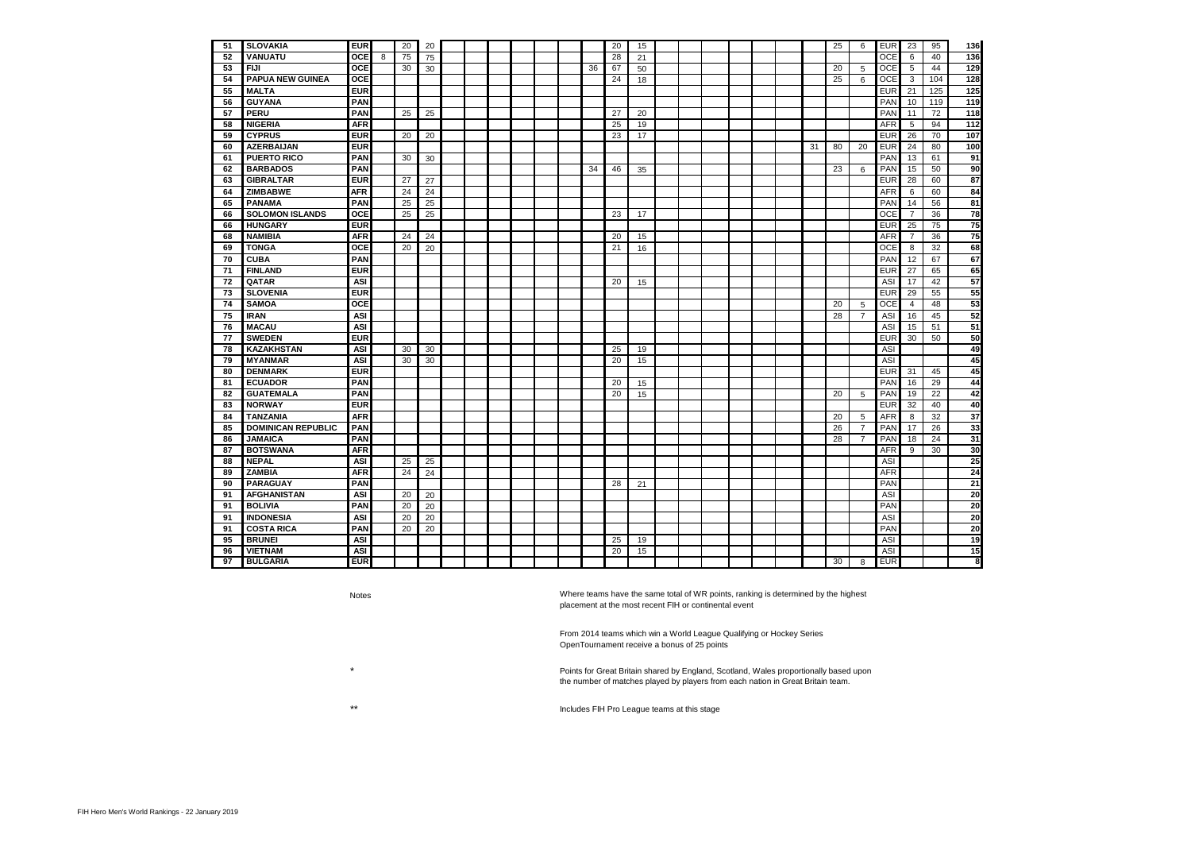| 51 | <b>SLOVAKIA</b>           | <b>EUR</b> |   | 20 | 20 |  |  |  |    | 20 | 15 |  |  |  |    | 25 | 6              | <b>EUR</b> | 23             | 95  | 136 |
|----|---------------------------|------------|---|----|----|--|--|--|----|----|----|--|--|--|----|----|----------------|------------|----------------|-----|-----|
| 52 | <b>VANUATU</b>            | <b>OCE</b> | 8 | 75 | 75 |  |  |  |    | 28 | 21 |  |  |  |    |    |                | <b>OCE</b> | 6              | 40  | 136 |
| 53 | <b>FIJI</b>               | <b>OCE</b> |   | 30 | 30 |  |  |  | 36 | 67 | 50 |  |  |  |    | 20 | 5              | <b>OCE</b> | 5              | 44  | 129 |
| 54 | <b>PAPUA NEW GUINEA</b>   | <b>OCE</b> |   |    |    |  |  |  |    | 24 | 18 |  |  |  |    | 25 | 6              | <b>OCE</b> | 3              | 104 | 128 |
| 55 | <b>MALTA</b>              | <b>EUR</b> |   |    |    |  |  |  |    |    |    |  |  |  |    |    |                | <b>EUR</b> | 21             | 125 | 125 |
| 56 | <b>GUYANA</b>             | <b>PAN</b> |   |    |    |  |  |  |    |    |    |  |  |  |    |    |                | PAN        | 10             | 119 | 119 |
| 57 | <b>PERU</b>               | <b>PAN</b> |   | 25 | 25 |  |  |  |    | 27 | 20 |  |  |  |    |    |                | <b>PAN</b> | 11             | 72  | 118 |
| 58 | <b>NIGERIA</b>            | <b>AFR</b> |   |    |    |  |  |  |    | 25 | 19 |  |  |  |    |    |                | <b>AFR</b> | 5              | 94  | 112 |
| 59 | <b>CYPRUS</b>             | <b>EUR</b> |   | 20 | 20 |  |  |  |    | 23 | 17 |  |  |  |    |    |                | <b>EUR</b> | 26             | 70  | 107 |
| 60 | <b>AZERBAIJAN</b>         | <b>EUR</b> |   |    |    |  |  |  |    |    |    |  |  |  | 31 | 80 | 20             | <b>EUR</b> | 24             | 80  | 100 |
| 61 | <b>PUERTO RICO</b>        | <b>PAN</b> |   | 30 | 30 |  |  |  |    |    |    |  |  |  |    |    |                | PAN        | 13             | 61  | 91  |
| 62 | <b>BARBADOS</b>           | <b>PAN</b> |   |    |    |  |  |  | 34 | 46 | 35 |  |  |  |    | 23 | 6              | PAN        | 15             | 50  | 90  |
| 63 | <b>GIBRALTAR</b>          | <b>EUR</b> |   | 27 | 27 |  |  |  |    |    |    |  |  |  |    |    |                | <b>EUR</b> | 28             | 60  | 87  |
| 64 | <b>ZIMBABWE</b>           | <b>AFR</b> |   | 24 | 24 |  |  |  |    |    |    |  |  |  |    |    |                | <b>AFR</b> | 6              | 60  | 84  |
| 65 | <b>PANAMA</b>             | <b>PAN</b> |   | 25 | 25 |  |  |  |    |    |    |  |  |  |    |    |                | PAN        | 14             | 56  | 81  |
| 66 | <b>SOLOMON ISLANDS</b>    | <b>OCE</b> |   | 25 | 25 |  |  |  |    | 23 | 17 |  |  |  |    |    |                | <b>OCE</b> | $\overline{7}$ | 36  | 78  |
| 66 | <b>HUNGARY</b>            | <b>EUR</b> |   |    |    |  |  |  |    |    |    |  |  |  |    |    |                | <b>EUR</b> | 25             | 75  | 75  |
| 68 | <b>NAMIBIA</b>            | <b>AFR</b> |   | 24 | 24 |  |  |  |    | 20 | 15 |  |  |  |    |    |                | <b>AFR</b> | $\overline{7}$ | 36  | 75  |
| 69 | <b>TONGA</b>              | <b>OCE</b> |   | 20 | 20 |  |  |  |    | 21 | 16 |  |  |  |    |    |                | <b>OCE</b> | 8              | 32  | 68  |
| 70 | <b>CUBA</b>               | <b>PAN</b> |   |    |    |  |  |  |    |    |    |  |  |  |    |    |                | PAN        | 12             | 67  | 67  |
| 71 | <b>FINLAND</b>            | <b>EUR</b> |   |    |    |  |  |  |    |    |    |  |  |  |    |    |                | <b>EUR</b> | 27             | 65  | 65  |
| 72 | QATAR                     | <b>ASI</b> |   |    |    |  |  |  |    | 20 | 15 |  |  |  |    |    |                | <b>ASI</b> | 17             | 42  | 57  |
| 73 | <b>SLOVENIA</b>           | <b>EUR</b> |   |    |    |  |  |  |    |    |    |  |  |  |    |    |                | <b>EUR</b> | 29             | 55  | 55  |
| 74 | <b>SAMOA</b>              | <b>OCE</b> |   |    |    |  |  |  |    |    |    |  |  |  |    | 20 | 5              | <b>OCE</b> | $\overline{4}$ | 48  | 53  |
| 75 | <b>IRAN</b>               | <b>ASI</b> |   |    |    |  |  |  |    |    |    |  |  |  |    | 28 | $\overline{7}$ | ASI        | 16             | 45  | 52  |
| 76 | <b>MACAU</b>              | <b>ASI</b> |   |    |    |  |  |  |    |    |    |  |  |  |    |    |                | <b>ASI</b> | 15             | 51  | 51  |
| 77 | <b>SWEDEN</b>             | <b>EUR</b> |   |    |    |  |  |  |    |    |    |  |  |  |    |    |                | <b>EUR</b> | 30             | 50  | 50  |
| 78 | <b>KAZAKHSTAN</b>         | <b>ASI</b> |   | 30 | 30 |  |  |  |    | 25 | 19 |  |  |  |    |    |                | <b>ASI</b> |                |     | 49  |
| 79 | <b>MYANMAR</b>            | <b>ASI</b> |   | 30 | 30 |  |  |  |    | 20 | 15 |  |  |  |    |    |                | ASI        |                |     | 45  |
| 80 | <b>DENMARK</b>            | <b>EUR</b> |   |    |    |  |  |  |    |    |    |  |  |  |    |    |                | <b>EUR</b> | 31             | 45  | 45  |
| 81 | <b>ECUADOR</b>            | <b>PAN</b> |   |    |    |  |  |  |    | 20 | 15 |  |  |  |    |    |                | PAN        | 16             | 29  | 44  |
| 82 | <b>GUATEMALA</b>          | <b>PAN</b> |   |    |    |  |  |  |    | 20 | 15 |  |  |  |    | 20 | 5              | PAN        | 19             | 22  | 42  |
| 83 | <b>NORWAY</b>             | <b>EUR</b> |   |    |    |  |  |  |    |    |    |  |  |  |    |    |                | <b>EUR</b> | 32             | 40  | 40  |
| 84 | <b>TANZANIA</b>           | <b>AFR</b> |   |    |    |  |  |  |    |    |    |  |  |  |    | 20 | 5              | <b>AFR</b> | 8              | 32  | 37  |
| 85 | <b>DOMINICAN REPUBLIC</b> | <b>PAN</b> |   |    |    |  |  |  |    |    |    |  |  |  |    | 26 | $\overline{7}$ | PAN        | 17             | 26  | 33  |
| 86 | <b>JAMAICA</b>            | <b>PAN</b> |   |    |    |  |  |  |    |    |    |  |  |  |    | 28 | $\overline{7}$ | PAN        | 18             | 24  | 31  |
| 87 | <b>BOTSWANA</b>           | <b>AFR</b> |   |    |    |  |  |  |    |    |    |  |  |  |    |    |                | <b>AFR</b> | 9              | 30  | 30  |
| 88 | <b>NEPAL</b>              | <b>ASI</b> |   | 25 | 25 |  |  |  |    |    |    |  |  |  |    |    |                | <b>ASI</b> |                |     | 25  |
| 89 | <b>ZAMBIA</b>             | <b>AFR</b> |   | 24 | 24 |  |  |  |    |    |    |  |  |  |    |    |                | <b>AFR</b> |                |     | 24  |
| 90 | <b>PARAGUAY</b>           | <b>PAN</b> |   |    |    |  |  |  |    | 28 | 21 |  |  |  |    |    |                | PAN        |                |     | 21  |
| 91 | <b>AFGHANISTAN</b>        | <b>ASI</b> |   | 20 | 20 |  |  |  |    |    |    |  |  |  |    |    |                | <b>ASI</b> |                |     | 20  |
| 91 | <b>BOLIVIA</b>            | <b>PAN</b> |   | 20 | 20 |  |  |  |    |    |    |  |  |  |    |    |                | PAN        |                |     | 20  |
| 91 | <b>INDONESIA</b>          | <b>ASI</b> |   | 20 | 20 |  |  |  |    |    |    |  |  |  |    |    |                | ASI        |                |     | 20  |
| 91 | <b>COSTA RICA</b>         | <b>PAN</b> |   | 20 | 20 |  |  |  |    |    |    |  |  |  |    |    |                | PAN        |                |     | 20  |
| 95 | <b>BRUNEI</b>             | <b>ASI</b> |   |    |    |  |  |  |    | 25 | 19 |  |  |  |    |    |                | <b>ASI</b> |                |     | 19  |
| 96 | <b>VIETNAM</b>            | <b>ASI</b> |   |    |    |  |  |  |    | 20 | 15 |  |  |  |    |    |                | <b>ASI</b> |                |     | 15  |
| 97 | <b>BULGARIA</b>           | <b>EUR</b> |   |    |    |  |  |  |    |    |    |  |  |  |    | 30 | 8              | <b>EUR</b> |                |     | 8   |

Notes

\*

\*\* Includes FIH Pro League teams at this stage

Points for Great Britain shared by England, Scotland, Wales proportionally based upon the number of matches played by players from each nation in Great Britain team.

From 2014 teams which win a World League Qualifying or Hockey Series OpenTournament receive a bonus of 25 points

Where teams have the same total of WR points, ranking is determined by the highest placement at the most recent FIH or continental event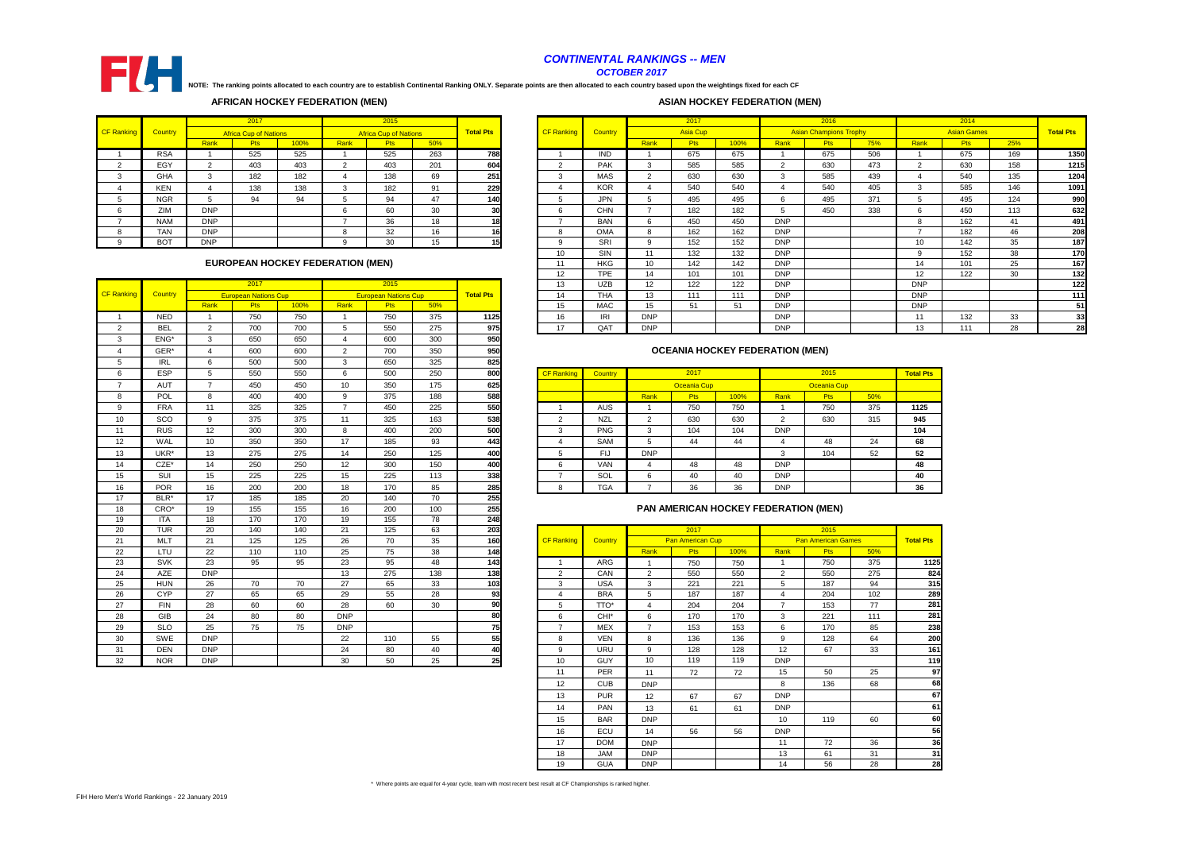|        |                |            | 2017                                    |      |      | 2015                         |     |                  |                   |                |                 | 2017            |      |            | 2016                          |     |            | 2014               |     |                  |
|--------|----------------|------------|-----------------------------------------|------|------|------------------------------|-----|------------------|-------------------|----------------|-----------------|-----------------|------|------------|-------------------------------|-----|------------|--------------------|-----|------------------|
| anking | <b>Country</b> |            | <b>Africa Cup of Nations</b>            |      |      | <b>Africa Cup of Nations</b> |     | <b>Total Pts</b> | <b>CF Ranking</b> | <b>Country</b> |                 | <b>Asia Cup</b> |      |            | <b>Asian Champions Trophy</b> |     |            | <b>Asian Games</b> |     | <b>Total Pts</b> |
|        |                | Rank       | <b>Pts</b>                              | 100% | Rank | <b>Pts</b>                   | 50% |                  |                   |                | Rank            | <b>Pts</b>      | 100% | Rank       | <b>Pts</b>                    | 75% | Rank       | <b>Pts</b>         | 25% |                  |
|        | <b>RSA</b>     |            | 525                                     | 525  |      | 525                          | 263 | 788              |                   | <b>IND</b>     |                 | 675             | 675  |            | 675                           | 506 |            | 675                | 169 | 1350             |
|        | EGY            | C          | 403                                     | 403  |      | 403                          | 201 | 604              | $\Omega$<br>∠     | <b>PAK</b>     | $\sim$          | 585             | 585  | $\sim$     | 630                           | 473 | $\sim$     | 630                | 158 | 1215             |
|        | <b>GHA</b>     | $\sim$     | 182                                     | 182  |      | 138                          | 69  | 251              | 3                 | <b>MAS</b>     | $\sim$          | 630             | 630  | ્ર         | 585                           | 439 |            | 540                | 135 | 1204             |
|        | <b>KEN</b>     |            | 138                                     | 138  |      | 182                          | 91  | 229              |                   | <b>KOR</b>     |                 | 540             | 540  |            | 540                           | 405 |            | 585                | 146 | 1091             |
|        | <b>NGR</b>     |            | 94                                      | 94   |      | 94                           | 47  | 140              |                   | <b>JPN</b>     |                 | 495             | 495  |            | 495                           | 371 |            | 495                | 124 | 990              |
|        | ZIM            | <b>DNP</b> |                                         |      |      | 60                           | 30  | 30               |                   | <b>CHN</b>     |                 | 182             | 182  |            | 450                           | 338 |            | 450                | 113 | 632              |
|        | <b>NAM</b>     | <b>DNP</b> |                                         |      |      | 36                           | 18  | 18               |                   | <b>BAN</b>     |                 | 450             | 450  | <b>DNP</b> |                               |     |            | 162                | 41  | 491              |
|        | <b>TAN</b>     | <b>DNP</b> |                                         |      |      | 32                           | 16  | 16               | 8                 | <b>OMA</b>     | <sub>8</sub>    | 162             | 162  | <b>DNP</b> |                               |     | -          | 182                | 46  | 208              |
|        | <b>BOT</b>     | <b>DNP</b> |                                         |      |      | 30                           | 15  |                  | 9                 | SRI            | 9               | 152             | 152  | <b>DNP</b> |                               |     | 10         | 142                | 35  | 187              |
|        |                |            |                                         |      |      |                              |     |                  | 10                | SIN            | 11              | 132             | 132  | <b>DNP</b> |                               |     |            | 152                | 38  | 170              |
|        |                |            | <b>EUROPEAN HOCKEY FEDERATION (MEN)</b> |      |      |                              |     |                  | 11                | <b>HKG</b>     | 10              | 142             | 142  | <b>DNP</b> |                               |     | 14         | 101                | 25  | 167              |
|        |                |            |                                         |      |      |                              |     |                  | $12 \overline{ }$ | <b>TPE</b>     | 14              | 101             | 101  | <b>DNP</b> |                               |     | 12         | 122                | 30  | 132              |
|        |                |            | 2017                                    |      |      | 2015                         |     |                  | 13                | <b>UZB</b>     | 12 <sup>2</sup> | 122             | 122  | <b>DNP</b> |                               |     | <b>DNP</b> |                    |     | 122              |
| anking | <b>Country</b> |            | <b>European Nations Cup</b>             |      |      | <b>European Nations Cup</b>  |     | <b>Total Pts</b> | 14                | <b>THA</b>     | 13              | 111             | 111  | <b>DNP</b> |                               |     | <b>DNP</b> |                    |     | 111              |
|        |                | Rank       | <b>Pts</b>                              | 100% | Rank | <b>Pts</b>                   | 50% |                  | 15                | <b>MAC</b>     | 15              | 51              | 51   | <b>DNP</b> |                               |     | <b>DNP</b> |                    |     | 51               |
|        | <b>NED</b>     |            | 750                                     | 750  |      | 750                          | 375 | 1125             | 16                | IRI            | <b>DNP</b>      |                 |      | <b>DNP</b> |                               |     | 11         | 132                | 33  | 33               |
|        | <b>BEL</b>     | $\sim$     | 700                                     | 700  |      | 550                          | 275 | 975              | 17                | QAT            | <b>DNP</b>      |                 |      | <b>DNP</b> |                               |     | 13         | 111                | 28  | 28               |

| $\cdots$   | $\tilde{\phantom{a}}$ | $\sim$ | $\sim$ | $\tilde{\phantom{a}}$ | ູ   | ິ   | $- -$ |                   |                |              |                    |      |            |                    |     |                  |
|------------|-----------------------|--------|--------|-----------------------|-----|-----|-------|-------------------|----------------|--------------|--------------------|------|------------|--------------------|-----|------------------|
| <b>ESP</b> |                       | 550    | 550    | O                     | 500 | 250 | 800   | <b>CF Ranking</b> | <b>Country</b> |              | 2017               |      |            | 2015               |     | <b>Total Pts</b> |
| <b>AUT</b> |                       | 450    | 450    | 10                    | 350 | 175 | 625   |                   |                |              | <b>Oceania Cup</b> |      |            | <b>Oceania Cup</b> |     |                  |
| <b>POL</b> |                       | 400    | 400    | 9                     | 375 | 188 | 588   |                   |                | Rank         | <b>Pts</b>         | 100% | Rank       | <b>Pts</b>         | 50% |                  |
| <b>FRA</b> | 11                    | 325    | 325    |                       | 450 | 225 | 550   |                   | AUS            |              | 750                | 750  |            | 750                | 375 | 1125             |
| SCO        |                       | 375    | 375    |                       | 325 | 163 | 538   |                   | <b>NZL</b>     | <u>.</u>     | 630                | 630  |            | 630                | 315 | 945              |
| <b>RUS</b> | $12 \overline{ }$     | 300    | 300    | o                     | 400 | 200 | 500   |                   | <b>PNG</b>     | $\sim$<br>د. | 104                | 104  | <b>DNP</b> |                    |     | 104              |
| WAL        | 10                    | 350    | 350    | 17                    | 185 | 93  | 443   |                   | <b>SAM</b>     | IJ           | 44                 | 44   |            | 48                 | 24  | 68               |
| UKR*       | 13                    | 275    | 275    | 14                    | 250 | 125 | 400   |                   | FIJ            | <b>DNP</b>   |                    |      |            | 104                | 52  | 52               |
| CZE*       | 14                    | 250    | 250    | 12                    | 300 | 150 | 400   |                   | <b>VAN</b>     |              | 48                 | 48   | <b>DNP</b> |                    |     | 48               |
| <b>SUI</b> | 15                    | 225    | 225    | 15                    | 225 | 113 | 338   |                   | SOL            | 6            | 40                 | 40   | <b>DNP</b> |                    |     | 40               |
| <b>POR</b> | 16                    | 200    | 200    | 18                    | 170 | 85  | 285   |                   | <b>TGA</b>     |              | 36                 | 36   | <b>DNP</b> |                    |     | 36               |
|            |                       |        |        |                       |     |     |       |                   |                |              |                    |      |            |                    |     |                  |

|                |                  |                 | 2017                        |      |                 | 2015                        |                 |                  | 13                | <b>UZB</b>       | 12             | 122              | 122  | <b>DNP</b>                             |                           |     | <b>DNP</b>     |
|----------------|------------------|-----------------|-----------------------------|------|-----------------|-----------------------------|-----------------|------------------|-------------------|------------------|----------------|------------------|------|----------------------------------------|---------------------------|-----|----------------|
| CF Ranking     | Country          |                 | <b>European Nations Cup</b> |      |                 | <b>European Nations Cup</b> |                 | <b>Total Pts</b> | 14                | <b>THA</b>       | 13             | 111              | 111  | <b>DNP</b>                             |                           |     | <b>DNP</b>     |
|                |                  | Rank            | Pts                         | 100% | Rank            | Pts                         | 50%             |                  | 15                | <b>MAC</b>       | 15             | 51               | 51   | <b>DNP</b>                             |                           |     | <b>DNP</b>     |
| -1             | <b>NED</b>       | $\overline{1}$  | 750                         | 750  | $\overline{1}$  | 750                         | 375             | 1125             | 16                | IRI              | <b>DNP</b>     |                  |      | <b>DNP</b>                             |                           |     | 11             |
| $\overline{2}$ | <b>BEL</b>       | $\overline{2}$  | 700                         | 700  | $\sqrt{5}$      | 550                         | 275             | 975              | 17                | QAT              | <b>DNP</b>     |                  |      | <b>DNP</b>                             |                           |     | 13             |
| 3              | ENG <sup>*</sup> | $\mathbf{3}$    | 650                         | 650  | $\overline{4}$  | 600                         | 300             | 950              |                   |                  |                |                  |      |                                        |                           |     |                |
| 4              | GER*             | $\overline{4}$  | 600                         | 600  | $\overline{2}$  | 700                         | 350             | 950              |                   |                  |                |                  |      | <b>OCEANIA HOCKEY FEDERATION (MEN)</b> |                           |     |                |
| 5              | <b>IRL</b>       | $6\phantom{1}$  | 500                         | 500  | 3               | 650                         | 325             | 825              |                   |                  |                |                  |      |                                        |                           |     |                |
| 6              | <b>ESP</b>       | 5               | 550                         | 550  | 6               | 500                         | 250             | 800              | <b>CF Rankind</b> | Country          |                | 2017             |      |                                        | 2015                      |     | <b>Total P</b> |
| $\overline{7}$ | AUT              | $\overline{7}$  | 450                         | 450  | 10              | 350                         | 175             | 625              |                   |                  |                | Oceania Cup      |      |                                        | <b>Oceania Cup</b>        |     |                |
| 8              | POL              | 8               | 400                         | 400  | 9               | 375                         | 188             | 588              |                   |                  | Rank           | <b>Pts</b>       | 100% | Rank                                   | <b>Pts</b>                | 50% |                |
| 9              | <b>FRA</b>       | 11              | 325                         | 325  | $\overline{7}$  | 450                         | 225             | 550              | -1                | <b>AUS</b>       | -1             | 750              | 750  | $\overline{\mathbf{1}}$                | 750                       | 375 | 1125           |
| 10             | SCO              | 9               | 375                         | 375  | 11              | 325                         | 163             | 538              | $\overline{2}$    | <b>NZL</b>       | $\overline{2}$ | 630              | 630  | $\overline{2}$                         | 630                       | 315 | 945            |
| 11             | <b>RUS</b>       | 12              | 300                         | 300  | $\bf8$          | 400                         | 200             | 500              | 3                 | <b>PNG</b>       | 3              | 104              | 104  | <b>DNP</b>                             |                           |     | 104            |
| 12             | <b>WAL</b>       | 10 <sup>1</sup> | 350                         | 350  | 17              | 185                         | 93              | 443              | 4                 | <b>SAM</b>       | 5              | 44               | 44   | 4                                      | 48                        | 24  | 68             |
| 13             | UKR <sup>*</sup> | 13              | 275                         | 275  | 14              | 250                         | 125             | 400              | 5                 | <b>FIJ</b>       | <b>DNP</b>     |                  |      | 3                                      | 104                       | 52  | 52             |
| 14             | $CZE^*$          | 14              | 250                         | 250  | 12              | 300                         | 150             | 400              | 6                 | <b>VAN</b>       | 4              | 48               | 48   | <b>DNP</b>                             |                           |     | 48             |
| 15             | SUI              | 15              | 225                         | 225  | 15              | 225                         | 113             | 338              | $\overline{7}$    | SOL              | 6              | 40               | 40   | <b>DNP</b>                             |                           |     | 40             |
| 16             | <b>POR</b>       | 16              | 200                         | 200  | 18              | 170                         | 85              | 285              | 8                 | <b>TGA</b>       | $\overline{7}$ | 36               | 36   | <b>DNP</b>                             |                           |     | 36             |
| 17             | BLR*             | 17              | 185                         | 185  | 20              | 140                         | 70              | 255              |                   |                  |                |                  |      |                                        |                           |     |                |
| 18             | CRO*             | 19              | 155                         | 155  | 16              | 200                         | 100             | 255              |                   |                  |                |                  |      | PAN AMERICAN HOCKEY FEDERATION (MEN)   |                           |     |                |
| 19             | <b>ITA</b>       | 18              | 170                         | 170  | 19              | 155                         | 78              | $\overline{248}$ |                   |                  |                |                  |      |                                        |                           |     |                |
| 20             | <b>TUR</b>       | 20              | 140                         | 140  | 21              | 125                         | 63              | 203              |                   |                  |                | 2017             |      |                                        | 2015                      |     |                |
| 21             | <b>MLT</b>       | 21              | 125                         | 125  | 26              | 70                          | 35              | 160              | <b>CF Ranking</b> | Country          |                | Pan American Cup |      |                                        | <b>Pan American Games</b> |     | <b>Total P</b> |
| 22             | LTU              | 22              | 110                         | 110  | 25              | 75                          | 38              | 148              |                   |                  | Rank           | <b>Pts</b>       | 100% | Rank                                   | Pts                       | 50% |                |
| 23             | <b>SVK</b>       | 23              | 95                          | 95   | 23              | 95                          | 48              | 143              | -1                | <b>ARG</b>       | -1             | 750              | 750  | $\overline{\mathbf{1}}$                | 750                       | 375 |                |
| 24             | <b>AZE</b>       | <b>DNP</b>      |                             |      | 13              | 275                         | $\frac{1}{38}$  | 138              | 2                 | CAN              | $\overline{2}$ | 550              | 550  | $\overline{2}$                         | 550                       | 275 |                |
| 25             | <b>HUN</b>       | 26              | 70                          | 70   | $\overline{27}$ | 65                          | 33              | 103              | 3                 | <b>USA</b>       | 3              | 221              | 221  | 5                                      | 187                       | 94  |                |
| 26             | <b>CYP</b>       | $\overline{27}$ | 65                          | 65   | 29              | 55                          | $\overline{28}$ | 93               | 4                 | <b>BRA</b>       | 5              | 187              | 187  | $\overline{4}$<br>$\overline{7}$       | 204                       | 102 |                |
| 27             | <b>FIN</b>       | 28              | 60                          | 60   | 28              | 60                          | 30              | 90               | 5                 | TTO*             | $\overline{4}$ | 204              | 204  |                                        | 153                       | 77  |                |
| 28             | <b>GIB</b>       | 24              | 80                          | 80   | <b>DNP</b>      |                             |                 | 80               | 6                 | CHI <sup>*</sup> | 6              | 170              | 170  | 3                                      | 221                       | 111 |                |
| 29             | <b>SLO</b>       | 25              | 75                          | 75   | <b>DNP</b>      |                             |                 | 75               | $\overline{7}$    | <b>MEX</b>       | $\overline{7}$ | 153              | 153  | 6                                      | 170                       | 85  |                |
| 30             | SWE              | <b>DNP</b>      |                             |      | 22              | 110                         | 55              | 55               | 8                 | <b>VEN</b>       | 8              | 136              | 136  | 9                                      | 128                       | 64  |                |
| 31             | <b>DEN</b>       | <b>DNP</b>      |                             |      | 24              | 80                          | 40              | 40               | 9                 | <b>URU</b>       | 9              | 128              | 128  | 12                                     | 67                        | 33  |                |
| 32             | <b>NOR</b>       | <b>DNP</b>      |                             |      | 30              | 50                          | 25              | 25               | 10 <sup>1</sup>   | <b>GUY</b>       | 10             | 119              | 119  | <b>DNP</b>                             |                           |     |                |

|    | .          | $\cdot$ $\cdot$ | .   | .   | .          | .   | $\cdot$ $\sim$ | .   |                   |                |                |                         |      |                |                           |     |                  |
|----|------------|-----------------|-----|-----|------------|-----|----------------|-----|-------------------|----------------|----------------|-------------------------|------|----------------|---------------------------|-----|------------------|
| 20 | <b>TUR</b> | 20              | 140 | 140 | 21         | 125 | 63             | 203 |                   |                |                | 2017                    |      |                | 2015                      |     |                  |
| 21 | <b>MLT</b> | 21              | 125 | 125 | 26         | 70  | 35             | 160 | <b>CF Ranking</b> | <b>Country</b> |                | <b>Pan American Cup</b> |      |                | <b>Pan American Games</b> |     | <b>Total Pts</b> |
| 22 | LTU        | 22              | 110 | 110 | 25         | 75  | 38             | 148 |                   |                | Rank           | <b>Pts</b>              | 100% | Rank           | Pts                       | 50% |                  |
| 23 | <b>SVK</b> | 23              | 95  | 95  | 23         | 95  | 48             | 143 |                   | ARG            |                | 750                     | 750  |                | 750                       | 375 | 1125             |
| 24 | AZE        | <b>DNP</b>      |     |     | 13         | 275 | 138            | 138 | $\overline{2}$    | CAN            | $\overline{2}$ | 550                     | 550  | 2              | 550                       | 275 | 824              |
| 25 | <b>HUN</b> | 26              | 70  | 70  | 27         | 65  | 33             | 103 | 3                 | <b>USA</b>     | 3              | 221                     | 221  | 5              | 187                       | 94  | 315              |
| 26 | <b>CYP</b> | 27              | 65  | 65  | 29         | 55  | 28             | 93  | $\overline{4}$    | <b>BRA</b>     | 5              | 187                     | 187  | 4              | 204                       | 102 | 289              |
| 27 | <b>FIN</b> | 28              | 60  | 60  | 28         | 60  | 30             | 90  | 5                 | TTO*           | $\overline{4}$ | 204                     | 204  | $\overline{7}$ | 153                       | 77  | 281              |
| 28 | <b>GIB</b> | 24              | 80  | 80  | <b>DNP</b> |     |                | 80  | 6                 | CHI*           | 6              | 170                     | 170  | 3              | 221                       | 111 | 281              |
| 29 | <b>SLO</b> | 25              | 75  | 75  | <b>DNP</b> |     |                | 75  | $\overline{7}$    | <b>MEX</b>     | $\overline{7}$ | 153                     | 153  | 6              | 170                       | 85  | 238              |
| 30 | SWE        | <b>DNP</b>      |     |     | 22         | 110 | 55             | 55  | 8                 | <b>VEN</b>     | 8              | 136                     | 136  | 9              | 128                       | 64  | 200              |
| 31 | <b>DEN</b> | <b>DNP</b>      |     |     | 24         | 80  | 40             | 40  | 9                 | URU            | 9              | 128                     | 128  | 12             | 67                        | 33  | 161              |
| 32 | <b>NOR</b> | <b>DNP</b>      |     |     | 30         | 50  | 25             | 25  | 10                | <b>GUY</b>     | 10             | 119                     | 119  | <b>DNP</b>     |                           |     | 119              |
|    |            |                 |     |     |            |     |                |     | 11                | <b>PER</b>     | 11             | 72                      | 72   | 15             | 50                        | 25  | 97               |
|    |            |                 |     |     |            |     |                |     | 12                | <b>CUB</b>     | <b>DNP</b>     |                         |      | 8              | 136                       | 68  | 68               |
|    |            |                 |     |     |            |     |                |     | 13                | <b>PUR</b>     | 12             | 67                      | 67   | <b>DNP</b>     |                           |     | 67               |
|    |            |                 |     |     |            |     |                |     | 14                | <b>PAN</b>     | 13             | 61                      | 61   | <b>DNP</b>     |                           |     | 61               |
|    |            |                 |     |     |            |     |                |     | 15                | <b>BAR</b>     | <b>DNP</b>     |                         |      | 10             | 119                       | 60  | 60               |
|    |            |                 |     |     |            |     |                |     | 16                | ECU            | 14             | 56                      | 56   | <b>DNP</b>     |                           |     | 56               |
|    |            |                 |     |     |            |     |                |     | 17                | <b>DOM</b>     | <b>DNP</b>     |                         |      | 11             | 72                        | 36  | 36               |
|    |            |                 |     |     |            |     |                |     | 18                | <b>JAM</b>     | <b>DNP</b>     |                         |      | 13             | 61                        | 31  | 31               |
|    |            |                 |     |     |            |     |                |     | 19                | <b>GUA</b>     | <b>DNP</b>     |                         |      | 14             | 56                        | 28  | 28               |
|    |            |                 |     |     |            |     |                |     |                   |                |                |                         |      |                |                           |     |                  |

# **PAN AMERICAN HOCKEY FEDERATION (MEN)**



# *CONTINENTAL RANKINGS -- MEN OCTOBER 2017*

# **ASIAN HOCKEY FEDERATION (MEN)**

|                   |                |            | 2017                         |      |             | 2015                         |     |                  |                   |            |        | 2017       |
|-------------------|----------------|------------|------------------------------|------|-------------|------------------------------|-----|------------------|-------------------|------------|--------|------------|
| <b>CF Ranking</b> | <b>Country</b> |            | <b>Africa Cup of Nations</b> |      |             | <b>Africa Cup of Nations</b> |     | <b>Total Pts</b> | <b>CF Ranking</b> | Country    |        | Asia C     |
|                   |                | Rank       | <b>Pts</b>                   | 100% | <b>Rank</b> | <b>Pts</b>                   | 50% |                  |                   |            | Rank   | <b>Pts</b> |
|                   | <b>RSA</b>     |            | 525                          | 525  |             | 525                          | 263 | 788              |                   | <b>IND</b> |        | 675        |
|                   | EGY            | っ          | 403                          | 403  | 2           | 403                          | 201 | 604              | 2                 | <b>PAK</b> | 3      | 585        |
|                   | <b>GHA</b>     | 3          | 182                          | 182  | 4           | 138                          | 69  | 251              | 3                 | <b>MAS</b> | ົ<br>∠ | 630        |
|                   | <b>KEN</b>     | 4          | 138                          | 138  | 3           | 182                          | 91  | <b>229</b>       | 4                 | <b>KOR</b> |        | 540        |
| 5.                | <b>NGR</b>     | 5          | 94                           | 94   | 5           | 94                           | 47  | 140I             | 5                 | <b>JPN</b> | 5      | 495        |
| 6                 | ZIM            | <b>DNP</b> |                              |      | 6           | 60                           | 30  | 30               | 6                 | <b>CHN</b> |        | 182        |
|                   | <b>NAM</b>     | <b>DNP</b> |                              |      |             | 36                           | 18  | 18               |                   | <b>BAN</b> | 6      | 450        |
|                   | TAN            | <b>DNP</b> |                              |      | 8           | 32                           | 16  | 16               | 8                 | <b>OMA</b> | 8      | 162        |
|                   | <b>BOT</b>     | <b>DNP</b> |                              |      | 9           | 30                           | 15  | 15               | 9                 | <b>SRI</b> | 9      | 152        |

**NOTE: The ranking points allocated to each country are to establish Continental Ranking ONLY. Separate points are then allocated to each country based upon the weightings fixed for each CF** 

# **OCEANIA HOCKEY FEDERATION (MEN)**

| EUROPEAN HOCKEY FEDERATION (MEN) |
|----------------------------------|
|----------------------------------|

# **AFRICAN HOCKEY FEDERATION (MEN)**